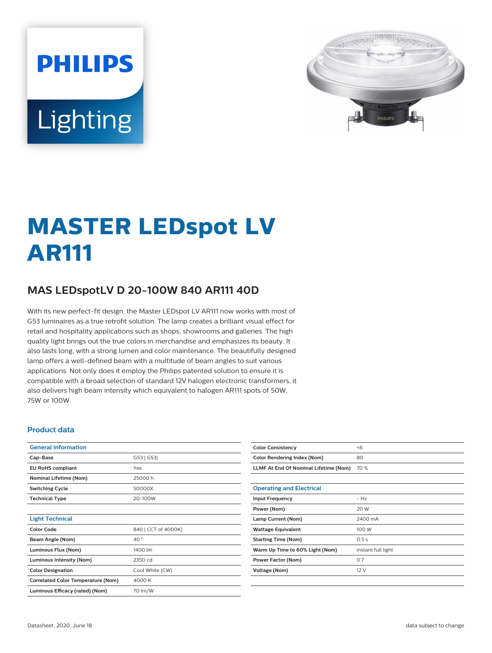# **PHILIPS Lighting**



# **MASTER LEDspot LV AR111**

# **MAS LEDspotLV D 20-100W 840 AR111 40D**

With its new perfect-fit design, the Master LEDspot LV AR111 now works with most of G53 luminaires as a true retrofit solution. The lamp creates a brilliant visual effect for retail and hospitality applications such as shops, showrooms and galleries. The high quality light brings out the true colors in merchandise and emphasizes its beauty. It also lasts long, with a strong lumen and color maintenance. The beautifully designed lamp offers a well-defined beam with a multitude of beam angles to suit various applications. Not only does it employ the Philips patented solution to ensure it is compatible with a broad selection of standard 12V halogen electronic transformers, it also delivers high beam intensity which equivalent to halogen AR111 spots of 50W, 75W or 100W.

#### **Product data**

| <b>General Information</b>                |                     |
|-------------------------------------------|---------------------|
| Cap-Base                                  | G53 [ G53]          |
| <b>EU RoHS compliant</b>                  | Yes                 |
| <b>Nominal Lifetime (Nom)</b>             | 25000 h             |
| <b>Switching Cycle</b>                    | 50000X              |
| <b>Technical Type</b>                     | 20-100W             |
|                                           |                     |
| <b>Light Technical</b>                    |                     |
| <b>Color Code</b>                         | 840   CCT of 4000K] |
| Beam Angle (Nom)                          | 40°                 |
| Luminous Flux (Nom)                       | 1400 lm             |
| <b>Luminous Intensity (Nom)</b>           | 2350 cd             |
| <b>Color Designation</b>                  | Cool White (CW)     |
| <b>Correlated Color Temperature (Nom)</b> | 4000 K              |
| Luminous Efficacy (rated) (Nom)           | 70 lm/W             |

| <b>Color Consistency</b>              | < 6                |
|---------------------------------------|--------------------|
| <b>Color Rendering Index (Nom)</b>    | 80                 |
| LLMF At End Of Nominal Lifetime (Nom) | 70 %               |
|                                       |                    |
| <b>Operating and Electrical</b>       |                    |
| <b>Input Frequency</b>                | $-Hz$              |
| Power (Nom)                           | 20 W               |
| Lamp Current (Nom)                    | 2400 mA            |
| <b>Wattage Equivalent</b>             | 100 W              |
| <b>Starting Time (Nom)</b>            | 0.5s               |
| Warm Up Time to 60% Light (Nom)       | instant full light |
| <b>Power Factor (Nom)</b>             | 0.7                |
| <b>Voltage (Nom)</b>                  | 12 V               |
|                                       |                    |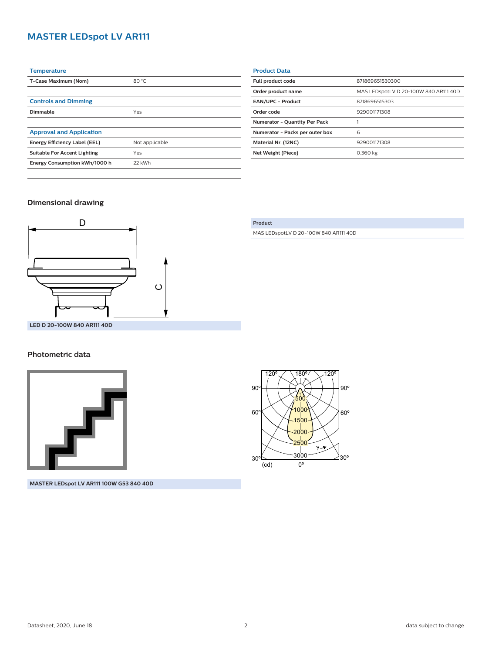# **MASTER LEDspot LV AR111**

| <b>Temperature</b>                  |                |
|-------------------------------------|----------------|
| T-Case Maximum (Nom)                | 80 °C          |
|                                     |                |
| <b>Controls and Dimming</b>         |                |
| Dimmable                            | Yes            |
|                                     |                |
| <b>Approval and Application</b>     |                |
| Energy Efficiency Label (EEL)       | Not applicable |
| <b>Suitable For Accent Lighting</b> | Yes            |
| Energy Consumption kWh/1000 h       | 22 kWh         |
|                                     |                |

| <b>Product Data</b>                  |                                       |
|--------------------------------------|---------------------------------------|
| Full product code                    | 871869651530300                       |
| Order product name                   | MAS LEDspotLV D 20-100W 840 AR111 40D |
| <b>EAN/UPC - Product</b>             | 8718696515303                         |
| Order code                           | 929001171308                          |
| <b>Numerator - Ouantity Per Pack</b> |                                       |
| Numerator - Packs per outer box      | 6                                     |
| Material Nr. (12NC)                  | 929001171308                          |
| Net Weight (Piece)                   | 0.360 kg                              |
|                                      |                                       |

### **Dimensional drawing**



**LED D 20-100W 840 AR111 40D**

#### **Photometric data**



**MASTER LEDspot LV AR111 100W G53 840 40D**

#### **Product**

MAS LEDspotLV D 20-100W 840 AR111 40D